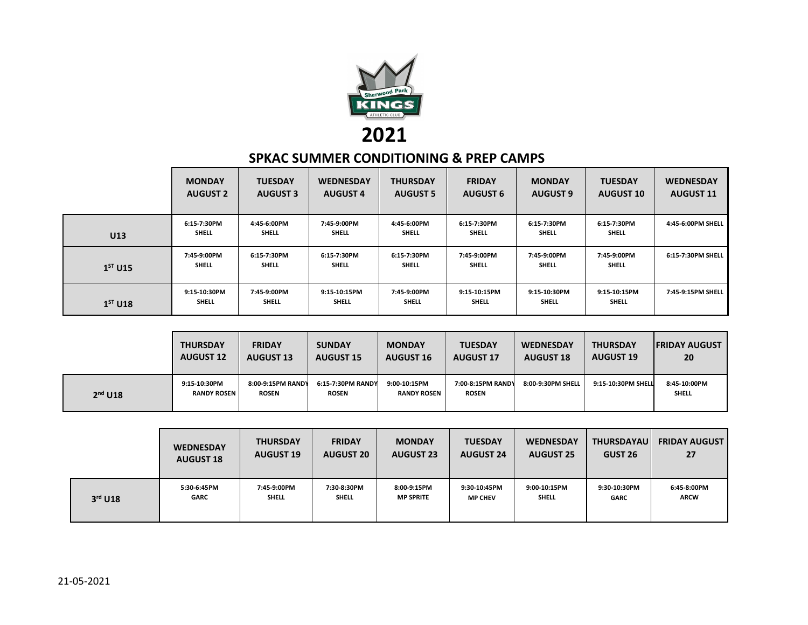

## **2021 SPKAC SUMMER CONDITIONING & PREP CAMPS**

|           | <b>MONDAY</b><br><b>AUGUST 2</b> | <b>TUESDAY</b><br><b>AUGUST 3</b> | <b>WEDNESDAY</b><br><b>AUGUST 4</b> | <b>THURSDAY</b><br><b>AUGUST 5</b> | <b>FRIDAY</b><br><b>AUGUST 6</b> | <b>MONDAY</b><br><b>AUGUST 9</b> | <b>TUESDAY</b><br><b>AUGUST 10</b> | <b>WEDNESDAY</b><br><b>AUGUST 11</b> |
|-----------|----------------------------------|-----------------------------------|-------------------------------------|------------------------------------|----------------------------------|----------------------------------|------------------------------------|--------------------------------------|
| U13       | 6:15-7:30PM<br><b>SHELL</b>      | 4:45-6:00PM<br><b>SHELL</b>       | 7:45-9:00PM<br><b>SHELL</b>         | 4:45-6:00PM<br><b>SHELL</b>        | 6:15-7:30PM<br><b>SHELL</b>      | 6:15-7:30PM<br><b>SHELL</b>      | 6:15-7:30PM<br><b>SHELL</b>        | 4:45-6:00PM SHELL                    |
| $1ST$ U15 | 7:45-9:00PM<br><b>SHELL</b>      | 6:15-7:30PM<br><b>SHELL</b>       | 6:15-7:30PM<br><b>SHELL</b>         | 6:15-7:30PM<br><b>SHELL</b>        | 7:45-9:00PM<br><b>SHELL</b>      | 7:45-9:00PM<br><b>SHELL</b>      | 7:45-9:00PM<br><b>SHELL</b>        | 6:15-7:30PM SHELL                    |
| $1ST$ U18 | 9:15-10:30PM<br><b>SHELL</b>     | 7:45-9:00PM<br>SHELL              | 9:15-10:15PM<br>SHELL               | 7:45-9:00PM<br><b>SHELL</b>        | 9:15-10:15PM<br><b>SHELL</b>     | 9:15-10:30PM<br><b>SHELL</b>     | 9:15-10:15PM<br><b>SHELL</b>       | 7:45-9:15PM SHELL                    |

|           | <b>THURSDAY</b>                    | <b>FRIDAY</b>                     | <b>SUNDAY</b>                     | <b>MONDAY</b>                      | <b>TUESDAY</b>                    | <b>WEDNESDAY</b>  | <b>THURSDAY</b>    | <b>FRIDAY AUGUST</b>         |
|-----------|------------------------------------|-----------------------------------|-----------------------------------|------------------------------------|-----------------------------------|-------------------|--------------------|------------------------------|
|           | <b>AUGUST 12</b>                   | <b>AUGUST 13</b>                  | <b>AUGUST 15</b>                  | <b>AUGUST 16</b>                   | <b>AUGUST 17</b>                  | <b>AUGUST 18</b>  | <b>AUGUST 19</b>   | 20                           |
| $2nd$ U18 | 9:15-10:30PM<br><b>RANDY ROSEN</b> | 8:00-9:15PM RANDY<br><b>ROSEN</b> | 6:15-7:30PM RANDY<br><b>ROSEN</b> | 9:00-10:15PM<br><b>RANDY ROSEN</b> | 7:00-8:15PM RANDY<br><b>ROSEN</b> | 8:00-9:30PM SHELL | 9:15-10:30PM SHELL | 8:45-10:00PM<br><b>SHELL</b> |

|           | <b>WEDNESDAY</b> | <b>THURSDAY</b>  | <b>FRIDAY</b>    | <b>MONDAY</b>    | <b>TUESDAY</b>   | <b>WEDNESDAY</b> | <b>THURSDAYAU</b> | <b>FRIDAY AUGUST</b> |
|-----------|------------------|------------------|------------------|------------------|------------------|------------------|-------------------|----------------------|
|           | <b>AUGUST 18</b> | <b>AUGUST 19</b> | <b>AUGUST 20</b> | <b>AUGUST 23</b> | <b>AUGUST 24</b> | <b>AUGUST 25</b> | GUST 26           | 27                   |
| $3rd$ U18 | 5:30-6:45PM      | 7:45-9:00PM      | 7:30-8:30PM      | 8:00-9:15PM      | 9:30-10:45PM     | 9:00-10:15PM     | 9:30-10:30PM      | 6:45-8:00PM          |
|           | <b>GARC</b>      | SHELL            | SHELL            | <b>MP SPRITE</b> | <b>MP CHEV</b>   | SHELL            | <b>GARC</b>       | <b>ARCW</b>          |